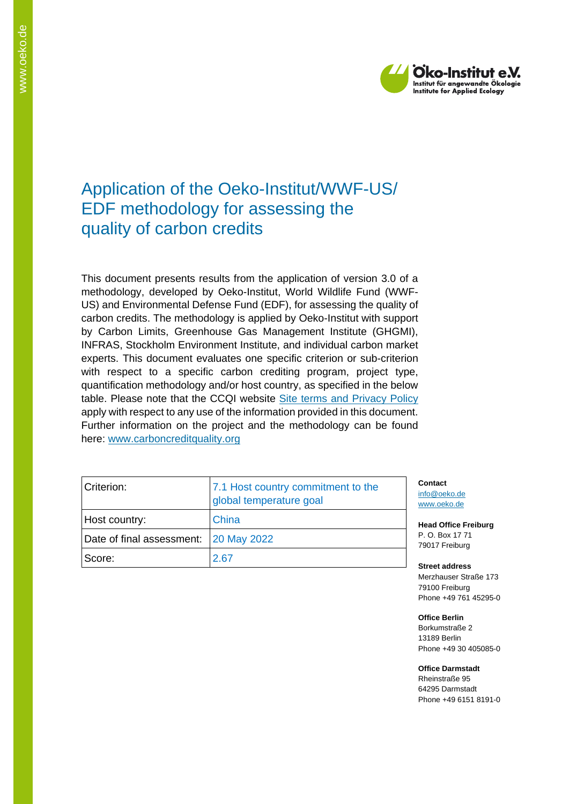

# Application of the Oeko-Institut/WWF-US/ EDF methodology for assessing the quality of carbon credits

This document presents results from the application of version 3.0 of a methodology, developed by Oeko-Institut, World Wildlife Fund (WWF-US) and Environmental Defense Fund (EDF), for assessing the quality of carbon credits. The methodology is applied by Oeko-Institut with support by Carbon Limits, Greenhouse Gas Management Institute (GHGMI), INFRAS, Stockholm Environment Institute, and individual carbon market experts. This document evaluates one specific criterion or sub-criterion with respect to a specific carbon crediting program, project type, quantification methodology and/or host country, as specified in the below table. Please note that the CCQI website [Site terms and Privacy Policy](https://carboncreditquality.org/terms.html) apply with respect to any use of the information provided in this document. Further information on the project and the methodology can be found here: [www.carboncreditquality.org](http://www.carboncreditquality.org/)

| Criterion:                            | 7.1 Host country commitment to the<br>global temperature goal |  |
|---------------------------------------|---------------------------------------------------------------|--|
| Host country:                         | China                                                         |  |
| Date of final assessment: 20 May 2022 |                                                               |  |
| Score:                                | 2.67                                                          |  |

**Contact** [info@oeko.de](mailto:info@oeko.de) [www.oeko.de](http://www.oeko.de/)

**Head Office Freiburg** P. O. Box 17 71 79017 Freiburg

**Street address** Merzhauser Straße 173 79100 Freiburg Phone +49 761 45295-0

**Office Berlin** Borkumstraße 2 13189 Berlin Phone +49 30 405085-0

**Office Darmstadt** Rheinstraße 95 64295 Darmstadt Phone +49 6151 8191-0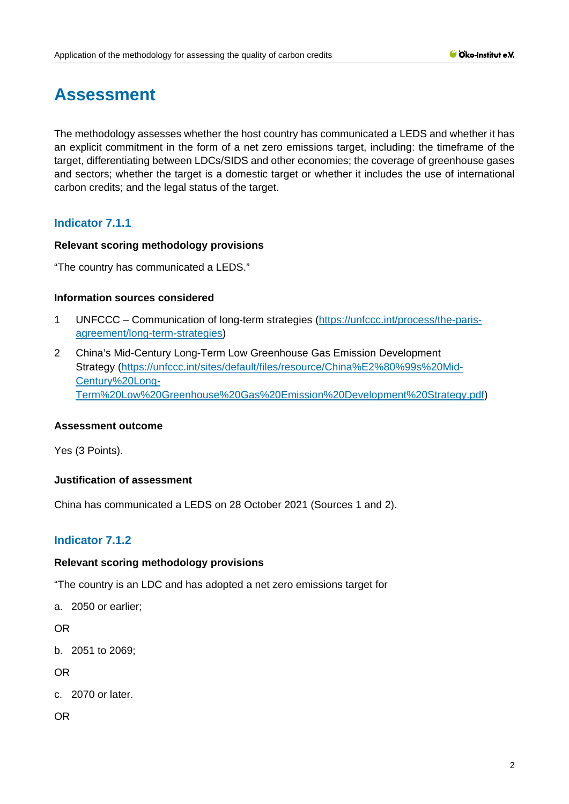# **Assessment**

The methodology assesses whether the host country has communicated a LEDS and whether it has an explicit commitment in the form of a net zero emissions target, including: the timeframe of the target, differentiating between LDCs/SIDS and other economies; the coverage of greenhouse gases and sectors; whether the target is a domestic target or whether it includes the use of international carbon credits; and the legal status of the target.

# **Indicator 7.1.1**

# **Relevant scoring methodology provisions**

"The country has communicated a LEDS."

#### **Information sources considered**

- 1 UNFCCC Communication of long-term strategies [\(https://unfccc.int/process/the-paris](https://unfccc.int/process/the-paris-agreement/long-term-strategies)[agreement/long-term-strategies\)](https://unfccc.int/process/the-paris-agreement/long-term-strategies)
- 2 China's Mid-Century Long-Term Low Greenhouse Gas Emission Development Strategy [\(https://unfccc.int/sites/default/files/resource/China%E2%80%99s%20Mid-](https://unfccc.int/sites/default/files/resource/China%E2%80%99s%20Mid-Century%20Long-Term%20Low%20Greenhouse%20Gas%20Emission%20Development%20Strategy.pdf)[Century%20Long-](https://unfccc.int/sites/default/files/resource/China%E2%80%99s%20Mid-Century%20Long-Term%20Low%20Greenhouse%20Gas%20Emission%20Development%20Strategy.pdf)[Term%20Low%20Greenhouse%20Gas%20Emission%20Development%20Strategy.pdf\)](https://unfccc.int/sites/default/files/resource/China%E2%80%99s%20Mid-Century%20Long-Term%20Low%20Greenhouse%20Gas%20Emission%20Development%20Strategy.pdf)

#### **Assessment outcome**

Yes (3 Points).

# **Justification of assessment**

China has communicated a LEDS on 28 October 2021 (Sources 1 and 2).

# **Indicator 7.1.2**

# **Relevant scoring methodology provisions**

"The country is an LDC and has adopted a net zero emissions target for

a. 2050 or earlier;

OR

b. 2051 to 2069;

OR

c. 2070 or later.

OR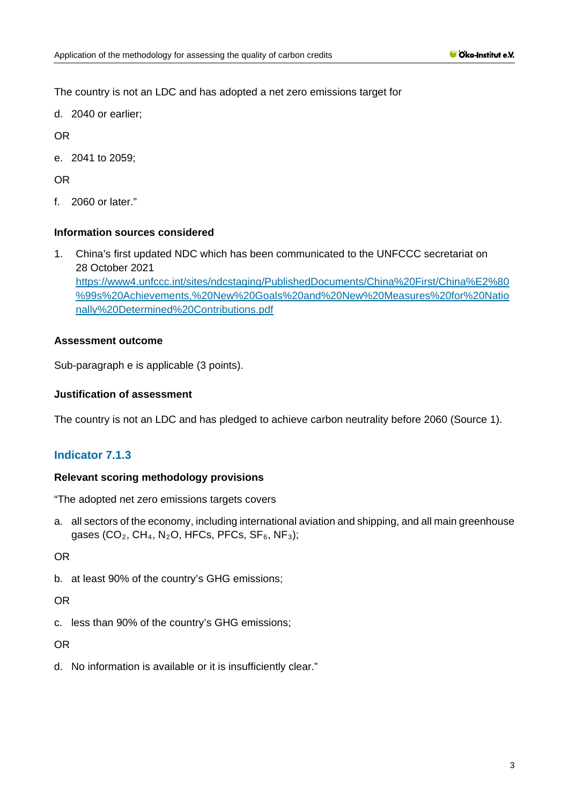The country is not an LDC and has adopted a net zero emissions target for

d. 2040 or earlier;

OR

e. 2041 to 2059;

OR

f. 2060 or later."

# **Information sources considered**

1. China's first updated NDC which has been communicated to the UNFCCC secretariat on 28 October 2021 [https://www4.unfccc.int/sites/ndcstaging/PublishedDocuments/China%20First/China%E2%80](https://www4.unfccc.int/sites/ndcstaging/PublishedDocuments/China%20First/China%E2%80%99s%20Achievements,%20New%20Goals%20and%20New%20Measures%20for%20Nationally%20Determined%20Contributions.pdf) [%99s%20Achievements,%20New%20Goals%20and%20New%20Measures%20for%20Natio](https://www4.unfccc.int/sites/ndcstaging/PublishedDocuments/China%20First/China%E2%80%99s%20Achievements,%20New%20Goals%20and%20New%20Measures%20for%20Nationally%20Determined%20Contributions.pdf) [nally%20Determined%20Contributions.pdf](https://www4.unfccc.int/sites/ndcstaging/PublishedDocuments/China%20First/China%E2%80%99s%20Achievements,%20New%20Goals%20and%20New%20Measures%20for%20Nationally%20Determined%20Contributions.pdf)

# **Assessment outcome**

Sub-paragraph e is applicable (3 points).

## **Justification of assessment**

The country is not an LDC and has pledged to achieve carbon neutrality before 2060 (Source 1).

# **Indicator 7.1.3**

# **Relevant scoring methodology provisions**

"The adopted net zero emissions targets covers

a. all sectors of the economy, including international aviation and shipping, and all main greenhouse gases (CO<sub>2</sub>, CH<sub>4</sub>, N<sub>2</sub>O, HFCs, PFCs, SF<sub>6</sub>, NF<sub>3</sub>);

OR

b. at least 90% of the country's GHG emissions;

OR

c. less than 90% of the country's GHG emissions;

OR

d. No information is available or it is insufficiently clear."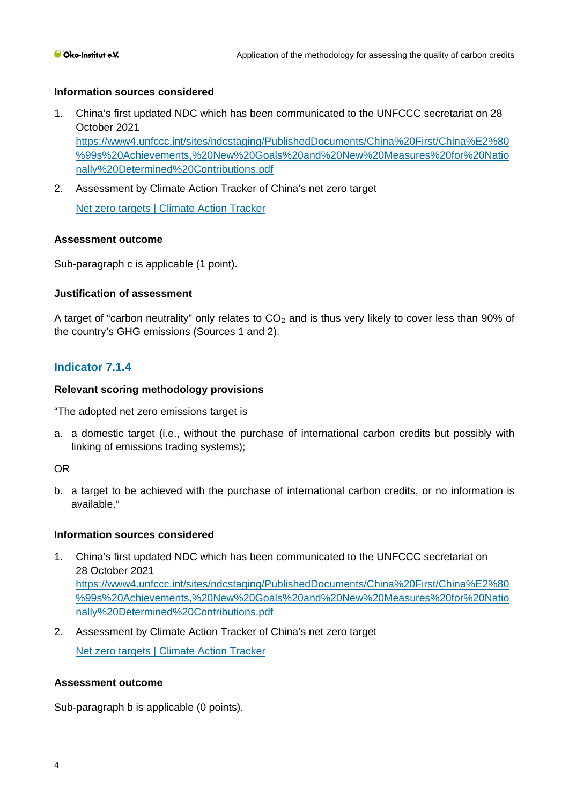# **Information sources considered**

- 1. China's first updated NDC which has been communicated to the UNFCCC secretariat on 28 October 2021 [https://www4.unfccc.int/sites/ndcstaging/PublishedDocuments/China%20First/China%E2%80](https://www4.unfccc.int/sites/ndcstaging/PublishedDocuments/China%20First/China%E2%80%99s%20Achievements,%20New%20Goals%20and%20New%20Measures%20for%20Nationally%20Determined%20Contributions.pdf) [%99s%20Achievements,%20New%20Goals%20and%20New%20Measures%20for%20Natio](https://www4.unfccc.int/sites/ndcstaging/PublishedDocuments/China%20First/China%E2%80%99s%20Achievements,%20New%20Goals%20and%20New%20Measures%20for%20Nationally%20Determined%20Contributions.pdf) [nally%20Determined%20Contributions.pdf](https://www4.unfccc.int/sites/ndcstaging/PublishedDocuments/China%20First/China%E2%80%99s%20Achievements,%20New%20Goals%20and%20New%20Measures%20for%20Nationally%20Determined%20Contributions.pdf)
- 2. Assessment by Climate Action Tracker of China's net zero target

[Net zero targets | Climate Action Tracker](https://climateactiontracker.org/countries/china/net-zero-targets/)

#### **Assessment outcome**

Sub-paragraph c is applicable (1 point).

#### **Justification of assessment**

A target of "carbon neutrality" only relates to  $CO<sub>2</sub>$  and is thus very likely to cover less than 90% of the country's GHG emissions (Sources 1 and 2).

# **Indicator 7.1.4**

#### **Relevant scoring methodology provisions**

"The adopted net zero emissions target is

a. a domestic target (i.e., without the purchase of international carbon credits but possibly with linking of emissions trading systems);

#### OR

b. a target to be achieved with the purchase of international carbon credits, or no information is available."

#### **Information sources considered**

- 1. China's first updated NDC which has been communicated to the UNFCCC secretariat on 28 October 2021 [https://www4.unfccc.int/sites/ndcstaging/PublishedDocuments/China%20First/China%E2%80](https://www4.unfccc.int/sites/ndcstaging/PublishedDocuments/China%20First/China%E2%80%99s%20Achievements,%20New%20Goals%20and%20New%20Measures%20for%20Nationally%20Determined%20Contributions.pdf) [%99s%20Achievements,%20New%20Goals%20and%20New%20Measures%20for%20Natio](https://www4.unfccc.int/sites/ndcstaging/PublishedDocuments/China%20First/China%E2%80%99s%20Achievements,%20New%20Goals%20and%20New%20Measures%20for%20Nationally%20Determined%20Contributions.pdf) [nally%20Determined%20Contributions.pdf](https://www4.unfccc.int/sites/ndcstaging/PublishedDocuments/China%20First/China%E2%80%99s%20Achievements,%20New%20Goals%20and%20New%20Measures%20for%20Nationally%20Determined%20Contributions.pdf)
- 2. Assessment by Climate Action Tracker of China's net zero target [Net zero targets | Climate Action Tracker](https://climateactiontracker.org/countries/china/net-zero-targets/)

#### **Assessment outcome**

Sub-paragraph b is applicable (0 points).